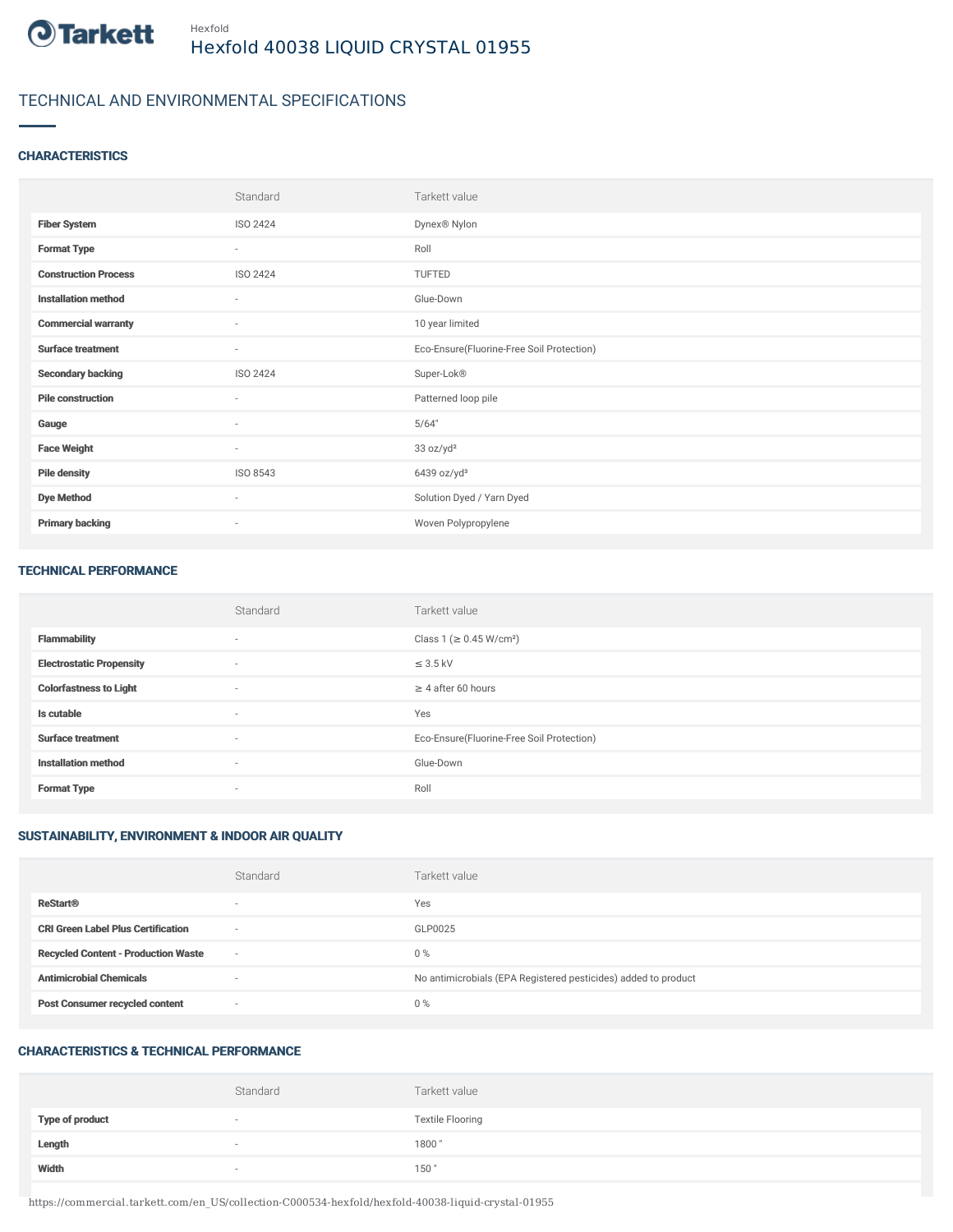

## TECHNICAL AND ENVIRONMENTAL SPECIFICATIONS

### **CHARACTERISTICS**

|                             | Standard                 | Tarkett value                             |
|-----------------------------|--------------------------|-------------------------------------------|
| <b>Fiber System</b>         | ISO 2424                 | Dynex® Nylon                              |
| <b>Format Type</b>          | $\sim$                   | Roll                                      |
| <b>Construction Process</b> | ISO 2424                 | TUFTED                                    |
| <b>Installation method</b>  | $\overline{\phantom{a}}$ | Glue-Down                                 |
| <b>Commercial warranty</b>  | $\sim$                   | 10 year limited                           |
| <b>Surface treatment</b>    | $\sim$                   | Eco-Ensure(Fluorine-Free Soil Protection) |
| <b>Secondary backing</b>    | ISO 2424                 | Super-Lok®                                |
| <b>Pile construction</b>    | $\sim$                   | Patterned loop pile                       |
| Gauge                       | $\overline{\phantom{a}}$ | 5/64"                                     |
| <b>Face Weight</b>          | $\sim$                   | 33 oz/yd <sup>2</sup>                     |
| <b>Pile density</b>         | ISO 8543                 | 6439 oz/yd <sup>3</sup>                   |
| <b>Dye Method</b>           | $\sim$                   | Solution Dyed / Yarn Dyed                 |
| <b>Primary backing</b>      | $\sim$                   | Woven Polypropylene                       |

#### TECHNICAL PERFORMANCE

|                                 | Standard                 | Tarkett value                             |
|---------------------------------|--------------------------|-------------------------------------------|
| <b>Flammability</b>             | $\overline{\phantom{a}}$ | Class 1 (≥ 0.45 W/cm <sup>2</sup> )       |
| <b>Electrostatic Propensity</b> | $\overline{a}$           | $\leq$ 3.5 kV                             |
| <b>Colorfastness to Light</b>   | $\sim$                   | $\geq$ 4 after 60 hours                   |
| Is cutable                      | $\sim$                   | Yes                                       |
| <b>Surface treatment</b>        | $\sim$                   | Eco-Ensure(Fluorine-Free Soil Protection) |
| <b>Installation method</b>      | $\overline{\phantom{a}}$ | Glue-Down                                 |
| <b>Format Type</b>              | $\sim$                   | Roll                                      |

## SUSTAINABILITY, ENVIRONMENT & INDOOR AIR QUALITY

|                                            | Standard                 | Tarkett value                                                  |
|--------------------------------------------|--------------------------|----------------------------------------------------------------|
| <b>ReStart®</b>                            | $\overline{\phantom{a}}$ | Yes                                                            |
| <b>CRI Green Label Plus Certification</b>  | $\overline{\phantom{a}}$ | GLP0025                                                        |
| <b>Recycled Content - Production Waste</b> | $\sim$                   | $0\%$                                                          |
| <b>Antimicrobial Chemicals</b>             | $\overline{\phantom{a}}$ | No antimicrobials (EPA Registered pesticides) added to product |
| <b>Post Consumer recycled content</b>      | $\overline{\phantom{a}}$ | $0\%$                                                          |

#### CHARACTERISTICS & TECHNICAL PERFORMANCE

|                        | Standard                 | Tarkett value           |
|------------------------|--------------------------|-------------------------|
| <b>Type of product</b> | $\overline{\phantom{a}}$ | <b>Textile Flooring</b> |
| Length                 |                          | 1800"                   |
| Width                  | $\sim$                   | 150"                    |

https://commercial.tarkett.com/en\_US/collection-C000534-hexfold/hexfold-40038-liquid-crystal-01955